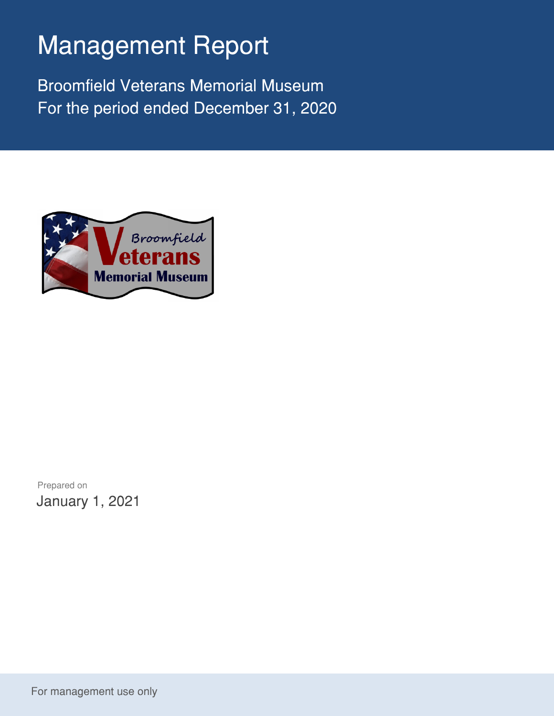## Management Report

Broomfield Veterans Memorial Museum For the period ended December 31, 2020



Prepared on January 1, 2021

For management use only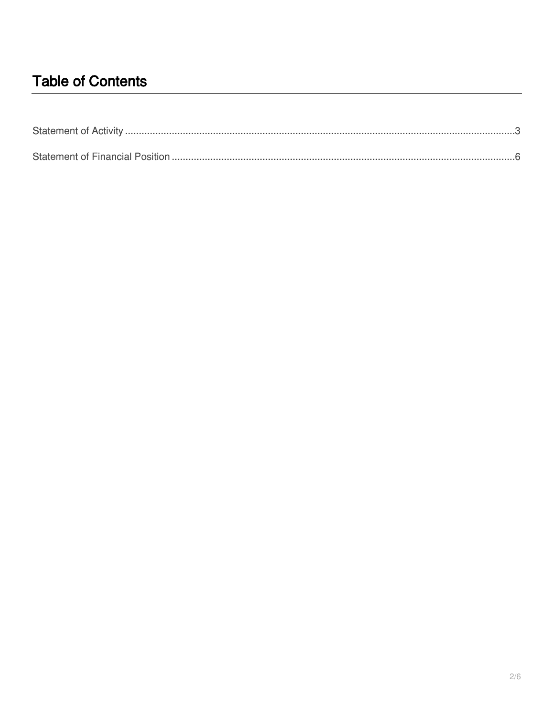## **Table of Contents**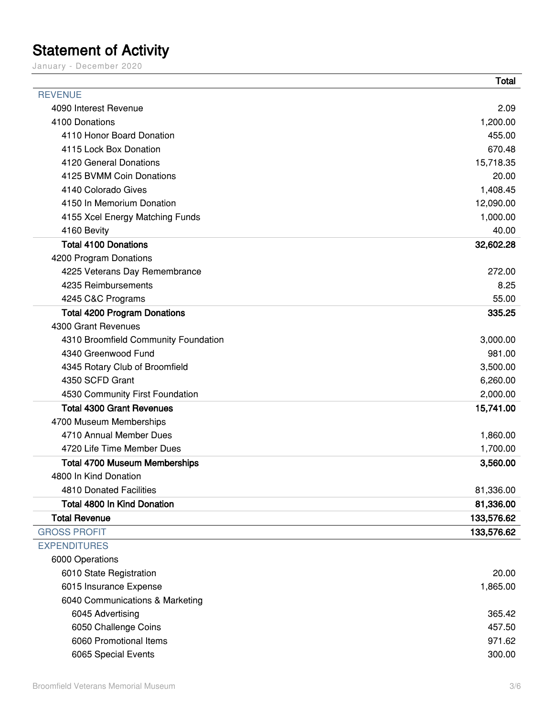## <span id="page-2-0"></span>**Statement of Activity**

January – December 2020

|                                      | <b>Total</b> |
|--------------------------------------|--------------|
| <b>REVENUE</b>                       |              |
| 4090 Interest Revenue                | 2.09         |
| 4100 Donations                       | 1,200.00     |
| 4110 Honor Board Donation            | 455.00       |
| 4115 Lock Box Donation               | 670.48       |
| 4120 General Donations               | 15,718.35    |
| 4125 BVMM Coin Donations             | 20.00        |
| 4140 Colorado Gives                  | 1,408.45     |
| 4150 In Memorium Donation            | 12,090.00    |
| 4155 Xcel Energy Matching Funds      | 1,000.00     |
| 4160 Bevity                          | 40.00        |
| <b>Total 4100 Donations</b>          | 32,602.28    |
| 4200 Program Donations               |              |
| 4225 Veterans Day Remembrance        | 272.00       |
| 4235 Reimbursements                  | 8.25         |
| 4245 C&C Programs                    | 55.00        |
| <b>Total 4200 Program Donations</b>  | 335.25       |
| 4300 Grant Revenues                  |              |
| 4310 Broomfield Community Foundation | 3,000.00     |
| 4340 Greenwood Fund                  | 981.00       |
| 4345 Rotary Club of Broomfield       | 3,500.00     |
| 4350 SCFD Grant                      | 6,260.00     |
| 4530 Community First Foundation      | 2,000.00     |
| <b>Total 4300 Grant Revenues</b>     | 15,741.00    |
| 4700 Museum Memberships              |              |
| 4710 Annual Member Dues              | 1,860.00     |
| 4720 Life Time Member Dues           | 1,700.00     |
| <b>Total 4700 Museum Memberships</b> | 3,560.00     |
| 4800 In Kind Donation                |              |
| 4810 Donated Facilities              | 81,336.00    |
| <b>Total 4800 In Kind Donation</b>   | 81,336.00    |
| <b>Total Revenue</b>                 | 133,576.62   |
| <b>GROSS PROFIT</b>                  | 133,576.62   |
| <b>EXPENDITURES</b>                  |              |
| 6000 Operations                      |              |
| 6010 State Registration              | 20.00        |
| 6015 Insurance Expense               | 1,865.00     |
| 6040 Communications & Marketing      |              |
| 6045 Advertising                     | 365.42       |
| 6050 Challenge Coins                 | 457.50       |
| 6060 Promotional Items               | 971.62       |
| 6065 Special Events                  | 300.00       |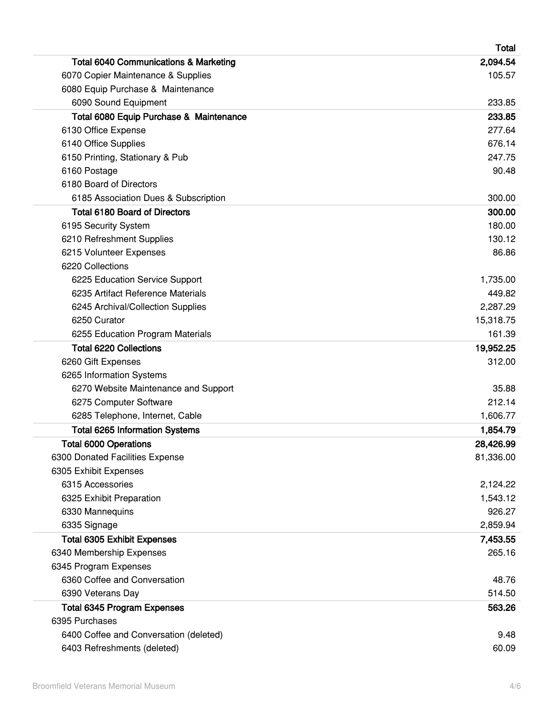|                                                  | <b>Total</b> |
|--------------------------------------------------|--------------|
| <b>Total 6040 Communications &amp; Marketing</b> | 2,094.54     |
| 6070 Copier Maintenance & Supplies               | 105.57       |
| 6080 Equip Purchase & Maintenance                |              |
| 6090 Sound Equipment                             | 233.85       |
| Total 6080 Equip Purchase & Maintenance          | 233.85       |
| 6130 Office Expense                              | 277.64       |
| 6140 Office Supplies                             | 676.14       |
| 6150 Printing, Stationary & Pub                  | 247.75       |
| 6160 Postage                                     | 90.48        |
| 6180 Board of Directors                          |              |
| 6185 Association Dues & Subscription             | 300.00       |
| <b>Total 6180 Board of Directors</b>             | 300.00       |
| 6195 Security System                             | 180.00       |
| 6210 Refreshment Supplies                        | 130.12       |
| 6215 Volunteer Expenses                          | 86.86        |
| 6220 Collections                                 |              |
| 6225 Education Service Support                   | 1,735.00     |
| 6235 Artifact Reference Materials                | 449.82       |
| 6245 Archival/Collection Supplies                | 2,287.29     |
| 6250 Curator                                     | 15,318.75    |
| 6255 Education Program Materials                 | 161.39       |
| <b>Total 6220 Collections</b>                    | 19,952.25    |
| 6260 Gift Expenses                               | 312.00       |
| 6265 Information Systems                         |              |
| 6270 Website Maintenance and Support             | 35.88        |
| 6275 Computer Software                           | 212.14       |
| 6285 Telephone, Internet, Cable                  | 1,606.77     |
| <b>Total 6265 Information Systems</b>            | 1,854.79     |
| <b>Total 6000 Operations</b>                     | 28,426.99    |
| 6300 Donated Facilities Expense                  | 81,336.00    |
| 6305 Exhibit Expenses                            |              |
| 6315 Accessories                                 | 2,124.22     |
| 6325 Exhibit Preparation                         | 1,543.12     |
| 6330 Mannequins                                  | 926.27       |
| 6335 Signage                                     | 2,859.94     |
| <b>Total 6305 Exhibit Expenses</b>               | 7,453.55     |
| 6340 Membership Expenses                         | 265.16       |
| 6345 Program Expenses                            |              |
| 6360 Coffee and Conversation                     | 48.76        |
| 6390 Veterans Day                                | 514.50       |
| <b>Total 6345 Program Expenses</b>               | 563.26       |
| 6395 Purchases                                   |              |
| 6400 Coffee and Conversation (deleted)           | 9.48         |
| 6403 Refreshments (deleted)                      | 60.09        |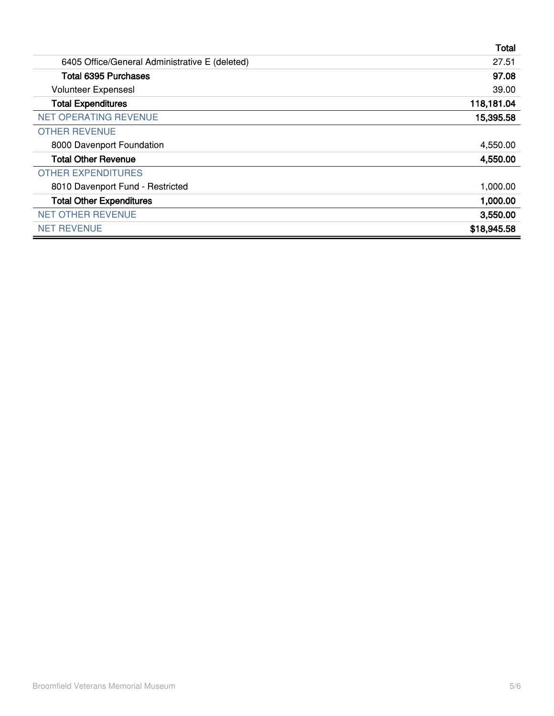|                                                | <b>Total</b> |
|------------------------------------------------|--------------|
| 6405 Office/General Administrative E (deleted) | 27.51        |
| <b>Total 6395 Purchases</b>                    | 97.08        |
| <b>Volunteer Expensesl</b>                     | 39.00        |
| <b>Total Expenditures</b>                      | 118,181.04   |
| <b>NET OPERATING REVENUE</b>                   | 15,395.58    |
| <b>OTHER REVENUE</b>                           |              |
| 8000 Davenport Foundation                      | 4,550.00     |
| <b>Total Other Revenue</b>                     | 4,550.00     |
| <b>OTHER EXPENDITURES</b>                      |              |
| 8010 Davenport Fund - Restricted               | 1,000.00     |
| <b>Total Other Expenditures</b>                | 1,000.00     |
| <b>NET OTHER REVENUE</b>                       | 3,550.00     |
| <b>NET REVENUE</b>                             | \$18,945.58  |